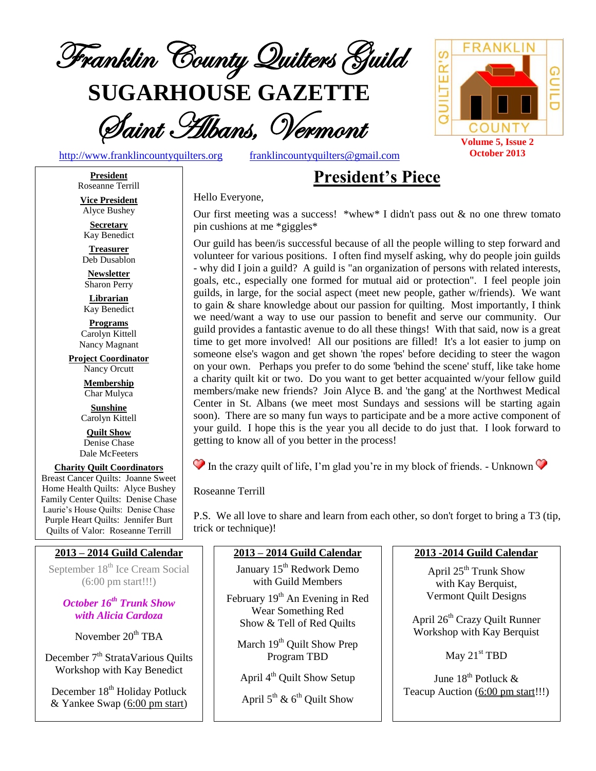

**SUGARHOUSE GAZETTE**



[http://www.franklincountyquilters.org](http://www.franklincountyquilters.org/) [franklincountyquilters@gmail.com](mailto:franklincountyquilters@gmail.com)

# **President's Piece**

#### Hello Everyone,

Our first meeting was a success! \*whew\* I didn't pass out  $\&$  no one threw tomato pin cushions at me \*giggles\*

Our guild has been/is successful because of all the people willing to step forward and volunteer for various positions. I often find myself asking, why do people join guilds - why did I join a guild? A guild is "an organization of persons with related interests, goals, etc., especially one formed for mutual aid or protection". I feel people join guilds, in large, for the social aspect (meet new people, gather w/friends). We want to gain & share knowledge about our passion for quilting. Most importantly, I think we need/want a way to use our passion to benefit and serve our community. Our guild provides a fantastic avenue to do all these things! With that said, now is a great time to get more involved! All our positions are filled! It's a lot easier to jump on someone else's wagon and get shown 'the ropes' before deciding to steer the wagon on your own. Perhaps you prefer to do some 'behind the scene' stuff, like take home a charity quilt kit or two. Do you want to get better acquainted w/your fellow guild members/make new friends? Join Alyce B. and 'the gang' at the Northwest Medical Center in St. Albans (we meet most Sundays and sessions will be starting again soon). There are so many fun ways to participate and be a more active component of your guild. I hope this is the year you all decide to do just that. I look forward to getting to know all of you better in the process!

 $\bullet$  In the crazy quilt of life, I'm glad you're in my block of friends. - Unknown  $\bullet$ 

Roseanne Terrill

P.S. We all love to share and learn from each other, so don't forget to bring a T3 (tip, trick or technique)!

#### **2013 – 2014 Guild Calendar**

September 18<sup>th</sup> Ice Cream Social (6:00 pm start!!!)

### *October 16th Trunk Show with Alicia Cardoza*

November 20<sup>th</sup> TBA

December 7<sup>th</sup> StrataVarious Quilts Workshop with Kay Benedict

December 18<sup>th</sup> Holiday Potluck & Yankee Swap (6:00 pm start)

#### **2013 – 2014 Guild Calendar**

January 15<sup>th</sup> Redwork Demo with Guild Members

February 19<sup>th</sup> An Evening in Red Wear Something Red Show & Tell of Red Quilts

March 19<sup>th</sup> Quilt Show Prep Program TBD

April 4<sup>th</sup> Quilt Show Setup

April  $5^{\text{th}}$  &  $6^{\text{th}}$  Quilt Show

#### **2013 -2014 Guild Calendar**

**Volume 5, Issue 2 October 2013**

**COUNT** 

၉၉

QUILTER'S

April 25<sup>th</sup> Trunk Show with Kay Berquist, Vermont Quilt Designs

April 26th Crazy Quilt Runner Workshop with Kay Berquist

May 21<sup>st</sup> TBD

June 18<sup>th</sup> Potluck & Teacup Auction (6:00 pm start!!!)



Alyce Bushey **Secretary**

Kay Benedict

**Treasurer** Deb Dusablon

**Newsletter** Sharon Perry

**Librarian** Kay Benedict

**Programs** Carolyn Kittell Nancy Magnant

**Project Coordinator** Nancy Orcutt

> **Membership** Char Mulyca

**Sunshine** Carolyn Kittell

**Quilt Show** Denise Chase Dale McFeeters

**Charity Quilt Coordinators** Breast Cancer Quilts: Joanne Sweet Home Health Quilts: Alyce Bushey Family Center Quilts: Denise Chase Laurie's House Quilts: Denise Chase Purple Heart Quilts: Jennifer Burt Quilts of Valor: Roseanne Terrill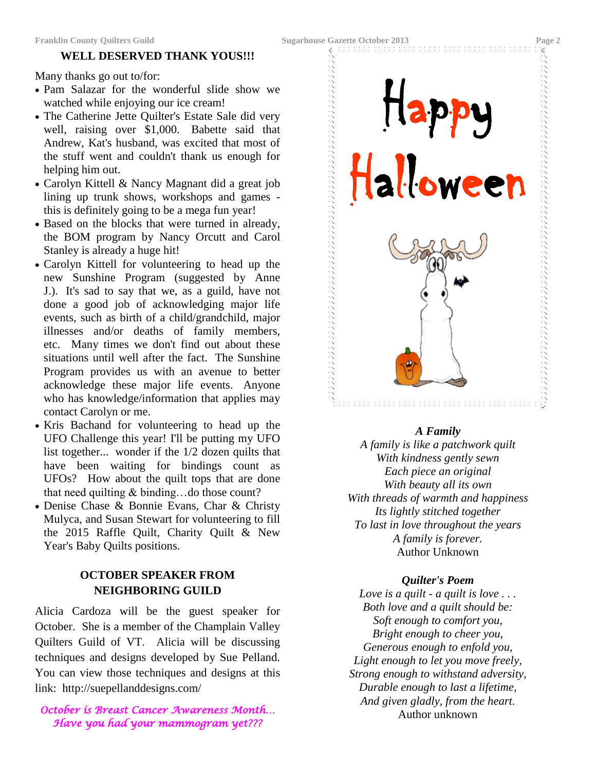#### **WELL DESERVED THANK YOUS!!!**

Many thanks go out to/for:

- Pam Salazar for the wonderful slide show we watched while enjoying our ice cream!
- The Catherine Jette Quilter's Estate Sale did very well, raising over \$1,000. Babette said that Andrew, Kat's husband, was excited that most of the stuff went and couldn't thank us enough for helping him out.
- Carolyn Kittell & Nancy Magnant did a great job lining up trunk shows, workshops and games this is definitely going to be a mega fun year!
- Based on the blocks that were turned in already, the BOM program by Nancy Orcutt and Carol Stanley is already a huge hit!
- Carolyn Kittell for volunteering to head up the new Sunshine Program (suggested by Anne J.). It's sad to say that we, as a guild, have not done a good job of acknowledging major life events, such as birth of a child/grandchild, major illnesses and/or deaths of family members, etc. Many times we don't find out about these situations until well after the fact. The Sunshine Program provides us with an avenue to better acknowledge these major life events. Anyone who has knowledge/information that applies may contact Carolyn or me.
- Kris Bachand for volunteering to head up the UFO Challenge this year! I'll be putting my UFO list together... wonder if the 1/2 dozen quilts that have been waiting for bindings count as UFOs? How about the quilt tops that are done that need quilting & binding…do those count?
- Denise Chase & Bonnie Evans, Char & Christy Mulyca, and Susan Stewart for volunteering to fill the 2015 Raffle Quilt, Charity Quilt & New Year's Baby Quilts positions.

### **OCTOBER SPEAKER FROM NEIGHBORING GUILD**

Alicia Cardoza will be the guest speaker for October. She is a member of the Champlain Valley Quilters Guild of VT. Alicia will be discussing techniques and designs developed by Sue Pelland. You can view those techniques and designs at this link: http://suepellanddesigns.com/

#### *October is Breast Cancer Awareness Month… Have you had your mammogram yet???*



#### *A Family*

*A family is like a patchwork quilt With kindness gently sewn Each piece an original With beauty all its own With threads of warmth and happiness Its lightly stitched together To last in love throughout the years A family is forever.* Author Unknown

#### *Quilter's Poem*

*Love is a quilt - a quilt is love . . . Both love and a quilt should be: Soft enough to comfort you, Bright enough to cheer you, Generous enough to enfold you, Light enough to let you move freely, Strong enough to withstand adversity, Durable enough to last a lifetime, And given gladly, from the heart.* Author unknown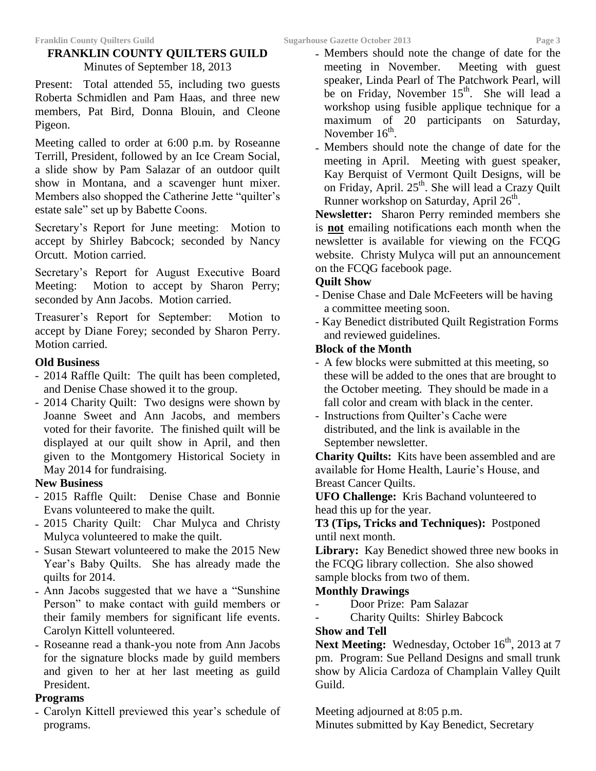### **FRANKLIN COUNTY QUILTERS GUILD** Minutes of September 18, 2013

Present: Total attended 55, including two guests Roberta Schmidlen and Pam Haas, and three new members, Pat Bird, Donna Blouin, and Cleone Pigeon.

Meeting called to order at 6:00 p.m. by Roseanne Terrill, President, followed by an Ice Cream Social, a slide show by Pam Salazar of an outdoor quilt show in Montana, and a scavenger hunt mixer. Members also shopped the Catherine Jette "quilter's estate sale" set up by Babette Coons.

Secretary's Report for June meeting: Motion to accept by Shirley Babcock; seconded by Nancy Orcutt. Motion carried.

Secretary's Report for August Executive Board Meeting: Motion to accept by Sharon Perry; seconded by Ann Jacobs. Motion carried.

Treasurer's Report for September: Motion to accept by Diane Forey; seconded by Sharon Perry. Motion carried.

### **Old Business**

- 2014 Raffle Quilt: The quilt has been completed, and Denise Chase showed it to the group.
- 2014 Charity Quilt: Two designs were shown by Joanne Sweet and Ann Jacobs, and members voted for their favorite. The finished quilt will be displayed at our quilt show in April, and then given to the Montgomery Historical Society in May 2014 for fundraising.

### **New Business**

- 2015 Raffle Quilt: Denise Chase and Bonnie Evans volunteered to make the quilt.
- 2015 Charity Quilt: Char Mulyca and Christy Mulyca volunteered to make the quilt.
- Susan Stewart volunteered to make the 2015 New Year's Baby Quilts. She has already made the quilts for 2014.
- Ann Jacobs suggested that we have a "Sunshine Person" to make contact with guild members or their family members for significant life events. Carolyn Kittell volunteered.
- Roseanne read a thank-you note from Ann Jacobs for the signature blocks made by guild members and given to her at her last meeting as guild President.

### **Programs**

- Carolyn Kittell previewed this year's schedule of programs.

- Members should note the change of date for the meeting in November. Meeting with guest meeting in November. speaker, Linda Pearl of The Patchwork Pearl, will be on Friday, November 15<sup>th</sup>. She will lead a workshop using fusible applique technique for a maximum of 20 participants on Saturday, November  $16^{\text{th}}$ .
- Members should note the change of date for the meeting in April. Meeting with guest speaker, Kay Berquist of Vermont Quilt Designs, will be on Friday, April. 25<sup>th</sup>. She will lead a Crazy Quilt Runner workshop on Saturday, April 26<sup>th</sup>.

**Newsletter:** Sharon Perry reminded members she is **not** emailing notifications each month when the newsletter is available for viewing on the FCQG website. Christy Mulyca will put an announcement on the FCQG facebook page.

### **Quilt Show**

- Denise Chase and Dale McFeeters will be having a committee meeting soon.
- Kay Benedict distributed Quilt Registration Forms and reviewed guidelines.

### **Block of the Month**

- A few blocks were submitted at this meeting, so these will be added to the ones that are brought to the October meeting. They should be made in a fall color and cream with black in the center.
- Instructions from Quilter's Cache were distributed, and the link is available in the September newsletter.

**Charity Quilts:** Kits have been assembled and are available for Home Health, Laurie's House, and Breast Cancer Quilts.

**UFO Challenge:** Kris Bachand volunteered to head this up for the year.

**T3 (Tips, Tricks and Techniques):** Postponed until next month.

**Library:** Kay Benedict showed three new books in the FCQG library collection. She also showed sample blocks from two of them.

### **Monthly Drawings**

- Door Prize: Pam Salazar
- Charity Quilts: Shirley Babcock

### **Show and Tell**

Next Meeting: Wednesday, October 16<sup>th</sup>, 2013 at 7 pm. Program: Sue Pelland Designs and small trunk show by Alicia Cardoza of Champlain Valley Quilt Guild.

Meeting adjourned at 8:05 p.m. Minutes submitted by Kay Benedict, Secretary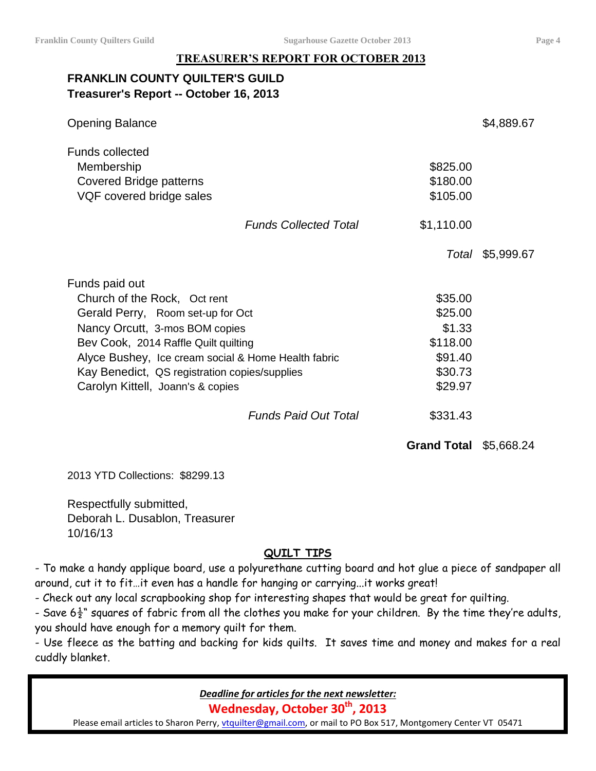### **TREASURER'S REPORT FOR OCTOBER 2013**

## **FRANKLIN COUNTY QUILTER'S GUILD Treasurer's Report -- October 16, 2013**

| <b>Opening Balance</b>                                                                      |                              |                                  | \$4,889.67       |
|---------------------------------------------------------------------------------------------|------------------------------|----------------------------------|------------------|
| <b>Funds collected</b><br>Membership<br>Covered Bridge patterns<br>VQF covered bridge sales |                              | \$825.00<br>\$180.00<br>\$105.00 |                  |
|                                                                                             | <b>Funds Collected Total</b> | \$1,110.00                       |                  |
|                                                                                             |                              |                                  | Total \$5,999.67 |
| Funds paid out                                                                              |                              |                                  |                  |
| Church of the Rock, Oct rent                                                                |                              | \$35.00                          |                  |
| Gerald Perry, Room set-up for Oct                                                           |                              | \$25.00                          |                  |
| Nancy Orcutt, 3-mos BOM copies                                                              |                              | \$1.33                           |                  |
| Bev Cook, 2014 Raffle Quilt quilting                                                        |                              | \$118.00                         |                  |
| Alyce Bushey, Ice cream social & Home Health fabric                                         |                              | \$91.40                          |                  |
| Kay Benedict, QS registration copies/supplies                                               |                              | \$30.73                          |                  |
| Carolyn Kittell, Joann's & copies                                                           |                              | \$29.97                          |                  |
|                                                                                             | <b>Funds Paid Out Total</b>  | \$331.43                         |                  |

**Grand Total** \$5,668.24

2013 YTD Collections: \$8299.13

Respectfully submitted, Deborah L. Dusablon, Treasurer 10/16/13

### **QUILT TIPS**

- To make a handy applique board, use a polyurethane cutting board and hot glue a piece of sandpaper all around, cut it to fit…it even has a handle for hanging or carrying...it works great!

- Check out any local scrapbooking shop for interesting shapes that would be great for quilting.

- Save  $6\frac{1}{2}$ " squares of fabric from all the clothes you make for your children. By the time they're adults, you should have enough for a memory quilt for them.

- Use fleece as the batting and backing for kids quilts. It saves time and money and makes for a real cuddly blanket.

*Deadline for articles for the next newsletter:*

**Wednesday, October 30th, 2013**

Please email articles to Sharon Perry, *vtquilter@gmail.com*, or mail to PO Box 517, Montgomery Center VT 05471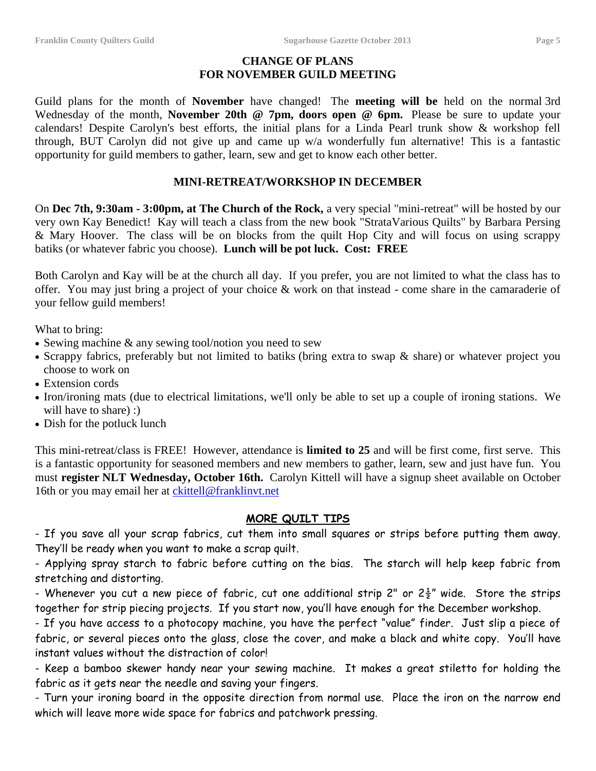### **CHANGE OF PLANS FOR NOVEMBER GUILD MEETING**

Guild plans for the month of **November** have changed! The **meeting will be** held on the normal 3rd Wednesday of the month, **November 20th @ 7pm, doors open @ 6pm.** Please be sure to update your calendars! Despite Carolyn's best efforts, the initial plans for a Linda Pearl trunk show & workshop fell through, BUT Carolyn did not give up and came up w/a wonderfully fun alternative! This is a fantastic opportunity for guild members to gather, learn, sew and get to know each other better.

#### **MINI-RETREAT/WORKSHOP IN DECEMBER**

On **Dec 7th, 9:30am - 3:00pm, at The Church of the Rock,** a very special "mini-retreat" will be hosted by our very own Kay Benedict! Kay will teach a class from the new book "StrataVarious Quilts" by Barbara Persing & Mary Hoover. The class will be on blocks from the quilt Hop City and will focus on using scrappy batiks (or whatever fabric you choose). **Lunch will be pot luck. Cost: FREE**

Both Carolyn and Kay will be at the church all day. If you prefer, you are not limited to what the class has to offer. You may just bring a project of your choice & work on that instead - come share in the camaraderie of your fellow guild members!

What to bring:

- Sewing machine & any sewing tool/notion you need to sew
- Scrappy fabrics, preferably but not limited to batiks (bring extra to swap & share) or whatever project you choose to work on
- Extension cords
- Iron/ironing mats (due to electrical limitations, we'll only be able to set up a couple of ironing stations. We will have to share) :
- Dish for the potluck lunch

This mini-retreat/class is FREE! However, attendance is **limited to 25** and will be first come, first serve. This is a fantastic opportunity for seasoned members and new members to gather, learn, sew and just have fun. You must **register NLT Wednesday, October 16th.** Carolyn Kittell will have a signup sheet available on October 16th or you may email her at [ckittell@franklinvt.net](mailto:ckittell@franklinvt.net)

#### **MORE QUILT TIPS**

- If you save all your scrap fabrics, cut them into small squares or strips before putting them away. They'll be ready when you want to make a scrap quilt.

- Applying spray starch to fabric before cutting on the bias. The starch will help keep fabric from stretching and distorting.

- Whenever you cut a new piece of fabric, cut one additional strip 2" or  $2\frac{1}{2}$ " wide. Store the strips together for strip piecing projects. If you start now, you'll have enough for the December workshop.

- If you have access to a photocopy machine, you have the perfect "value" finder. Just slip a piece of fabric, or several pieces onto the glass, close the cover, and make a black and white copy. You'll have instant values without the distraction of color!

- Keep a bamboo skewer handy near your sewing machine. It makes a great stiletto for holding the fabric as it gets near the needle and saving your fingers.

- Turn your ironing board in the opposite direction from normal use. Place the iron on the narrow end which will leave more wide space for fabrics and patchwork pressing.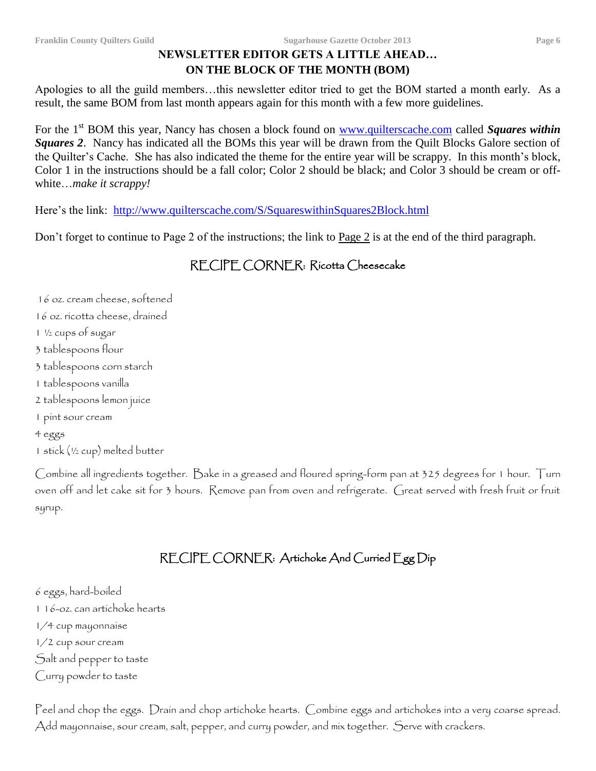### **NEWSLETTER EDITOR GETS A LITTLE AHEAD… ON THE BLOCK OF THE MONTH (BOM)**

Apologies to all the guild members…this newsletter editor tried to get the BOM started a month early. As a result, the same BOM from last month appears again for this month with a few more guidelines.

For the 1<sup>st</sup> BOM this year, Nancy has chosen a block found on [www.quilterscache.com](http://www.quilterscache.com/) called *Squares within Squares 2*. Nancy has indicated all the BOMs this year will be drawn from the Quilt Blocks Galore section of the Quilter's Cache. She has also indicated the theme for the entire year will be scrappy. In this month's block, Color 1 in the instructions should be a fall color; Color 2 should be black; and Color 3 should be cream or offwhite…*make it scrappy!*

Here's the link: <http://www.quilterscache.com/S/SquareswithinSquares2Block.html>

Don't forget to continue to Page 2 of the instructions; the link to Page 2 is at the end of the third paragraph.

# RECIPE CORNER: Ricotta Cheesecake

16 oz. cream cheese, softened 16 oz. ricotta cheese, drained 1 ½ cups of sugar 3 tablespoons flour 3 tablespoons corn starch 1 tablespoons vanilla 2 tablespoons lemon juice 1 pint sour cream 4 eggs 1 stick (½ cup) melted butter

Combine all ingredients together. Bake in a greased and floured spring-form pan at 325 degrees for 1 hour. Turn oven off and let cake sit for 3 hours. Remove pan from oven and refrigerate. Great served with fresh fruit or fruit syrup.

# RECIPE CORNER: Artichoke And Curried Egg Dip

- 6 eggs, hard-boiled
- 1 16-oz. can artichoke hearts
- 1/4 cup mayonnaise
- 1/2 cup sour cream
- Salt and pepper to taste
- Curry powder to taste

Peel and chop the eggs. Drain and chop artichoke hearts. Combine eggs and artichokes into a very coarse spread. Add mayonnaise, sour cream, salt, pepper, and curry powder, and mix together. Serve with crackers.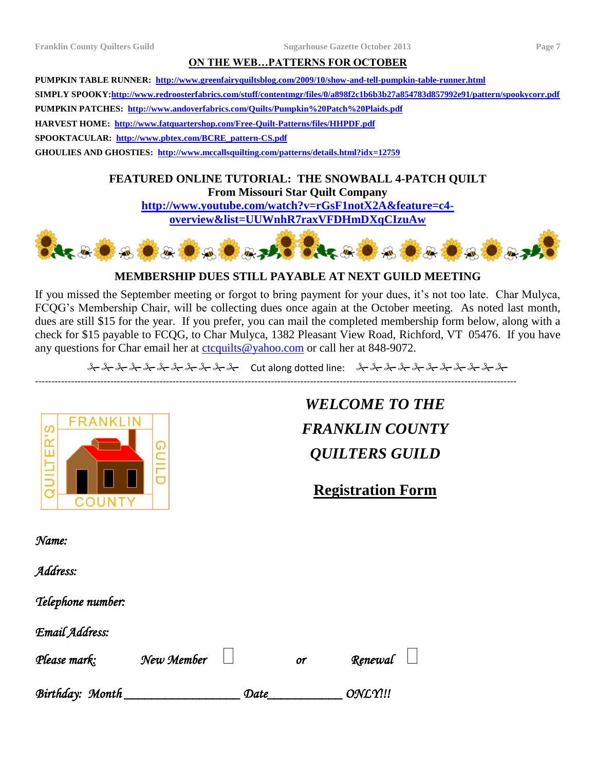#### **ON THE WEB…PATTERNS FOR OCTOBER**

**PUMPKIN TABLE RUNNER: <http://www.greenfairyquiltsblog.com/2009/10/show-and-tell-pumpkin-table-runner.html> SIMPLY SPOOKY[:http://www.redroosterfabrics.com/stuff/contentmgr/files/0/a898f2c1b6b3b27a854783d857992e91/pattern/spookycorr.pdf](http://www.redroosterfabrics.com/stuff/contentmgr/files/0/a898f2c1b6b3b27a854783d857992e91/pattern/spookycorr.pdf) PUMPKIN PATCHES:<http://www.andoverfabrics.com/Quilts/Pumpkin%20Patch%20Plaids.pdf> HARVEST HOME: <http://www.fatquartershop.com/Free-Quilt-Patterns/files/HHPDF.pdf> SPOOKTACULAR: [http://www.pbtex.com/BCRE\\_pattern-CS.pdf](http://www.pbtex.com/BCRE_pattern-CS.pdf) GHOULIES AND GHOSTIES: <http://www.mccallsquilting.com/patterns/details.html?idx=12759>**

> **FEATURED ONLINE TUTORIAL: THE SNOWBALL 4-PATCH QUILT From Missouri Star Quilt Company [http://www.youtube.com/watch?v=rGsF1notX2A&feature=c4-](http://www.youtube.com/watch?v=rGsF1notX2A&feature=c4-overview&list=UUWnhR7raxVFDHmDXqCIzuAw)**

**[overview&list=UUWnhR7raxVFDHmDXqCIzuAw](http://www.youtube.com/watch?v=rGsF1notX2A&feature=c4-overview&list=UUWnhR7raxVFDHmDXqCIzuAw)**



#### **MEMBERSHIP DUES STILL PAYABLE AT NEXT GUILD MEETING**

If you missed the September meeting or forgot to bring payment for your dues, it's not too late. Char Mulyca, FCQG's Membership Chair, will be collecting dues once again at the October meeting. As noted last month, dues are still \$15 for the year. If you prefer, you can mail the completed membership form below, along with a check for \$15 payable to FCQG, to Char Mulyca, 1382 Pleasant View Road, Richford, VT 05476. If you have any questions for Char email her at [ctcquilts@yahoo.com](mailto:ctcquilts@yahoo.com) or call her at 848-9072.

2 - 2 - 2 - 2 - 2 - 2 - 2 - 2 - 2 - Cut along dotted line: 2 - 2 - 2 - 2 - 2 - 2 - 2 - 2 - 2

---------------------------------------------------------------------------------------------------------------------------------------------------



*WELCOME TO THE FRANKLIN COUNTY QUILTERS GUILD*

**Registration Form**

| Name: |  |  |
|-------|--|--|
|       |  |  |
| - -   |  |  |

*Address:* 

*Telephone number:* 

*Email Address:* 

| Please mark:    | New Member |      | or | Renewal $\Box$   |  |
|-----------------|------------|------|----|------------------|--|
| Birthday: Month |            | Date |    | ONL <sub>Y</sub> |  |